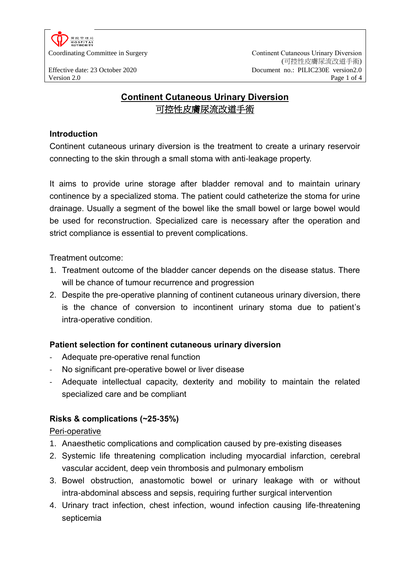

Coordinating Committee in Surgery **Continent Cutaneous Urinary Diversion** (可控性皮膚尿流改道手術) Effective date: 23 October 2020 Document no.: PILIC230E version2.0 Version 2.0 Page 1 of 4

# **Continent Cutaneous Urinary Diversion** 可控性皮膚尿流改道手術

## **Introduction**

Continent cutaneous urinary diversion is the treatment to create a urinary reservoir connecting to the skin through a small stoma with anti-leakage property.

It aims to provide urine storage after bladder removal and to maintain urinary continence by a specialized stoma. The patient could catheterize the stoma for urine drainage. Usually a segment of the bowel like the small bowel or large bowel would be used for reconstruction. Specialized care is necessary after the operation and strict compliance is essential to prevent complications.

Treatment outcome:

- 1. Treatment outcome of the bladder cancer depends on the disease status. There will be chance of tumour recurrence and progression
- 2. Despite the pre-operative planning of continent cutaneous urinary diversion, there is the chance of conversion to incontinent urinary stoma due to patient's intra-operative condition.

## **Patient selection for continent cutaneous urinary diversion**

- Adequate pre-operative renal function
- No significant pre-operative bowel or liver disease
- Adequate intellectual capacity, dexterity and mobility to maintain the related specialized care and be compliant

# **Risks & complications (~25-35%)**

## Peri-operative

- 1. Anaesthetic complications and complication caused by pre-existing diseases
- 2. Systemic life threatening complication including myocardial infarction, cerebral vascular accident, deep vein thrombosis and pulmonary embolism
- 3. Bowel obstruction, anastomotic bowel or urinary leakage with or without intra-abdominal abscess and sepsis, requiring further surgical intervention
- 4. Urinary tract infection, chest infection, wound infection causing life-threatening septicemia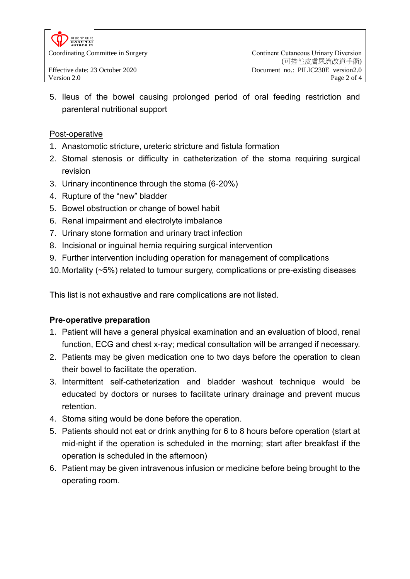

5. Ileus of the bowel causing prolonged period of oral feeding restriction and parenteral nutritional support

#### Post-operative

- 1. Anastomotic stricture, ureteric stricture and fistula formation
- 2. Stomal stenosis or difficulty in catheterization of the stoma requiring surgical revision
- 3. Urinary incontinence through the stoma (6-20%)
- 4. Rupture of the "new" bladder
- 5. Bowel obstruction or change of bowel habit
- 6. Renal impairment and electrolyte imbalance
- 7. Urinary stone formation and urinary tract infection
- 8. Incisional or inguinal hernia requiring surgical intervention
- 9. Further intervention including operation for management of complications
- 10.Mortality (~5%) related to tumour surgery, complications or pre-existing diseases

This list is not exhaustive and rare complications are not listed.

## **Pre-operative preparation**

- 1. Patient will have a general physical examination and an evaluation of blood, renal function, ECG and chest x-ray; medical consultation will be arranged if necessary.
- 2. Patients may be given medication one to two days before the operation to clean their bowel to facilitate the operation.
- 3. Intermittent self-catheterization and bladder washout technique would be educated by doctors or nurses to facilitate urinary drainage and prevent mucus retention.
- 4. Stoma siting would be done before the operation.
- 5. Patients should not eat or drink anything for 6 to 8 hours before operation (start at mid-night if the operation is scheduled in the morning; start after breakfast if the operation is scheduled in the afternoon)
- 6. Patient may be given intravenous infusion or medicine before being brought to the operating room.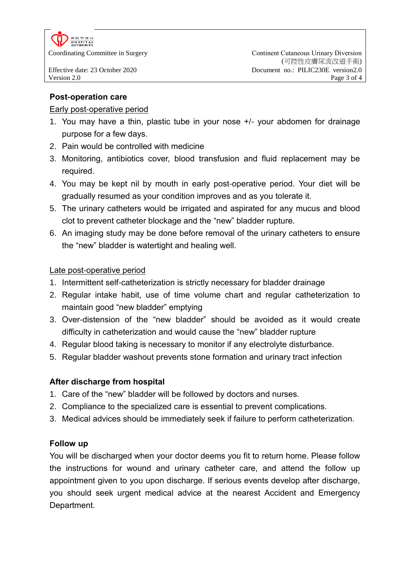

## **Post-operation care**

#### Early post-operative period

- 1. You may have a thin, plastic tube in your nose +/- your abdomen for drainage purpose for a few days.
- 2. Pain would be controlled with medicine
- 3. Monitoring, antibiotics cover, blood transfusion and fluid replacement may be required.
- 4. You may be kept nil by mouth in early post-operative period. Your diet will be gradually resumed as your condition improves and as you tolerate it.
- 5. The urinary catheters would be irrigated and aspirated for any mucus and blood clot to prevent catheter blockage and the "new" bladder rupture.
- 6. An imaging study may be done before removal of the urinary catheters to ensure the "new" bladder is watertight and healing well.

#### Late post-operative period

- 1. Intermittent self-catheterization is strictly necessary for bladder drainage
- 2. Regular intake habit, use of time volume chart and regular catheterization to maintain good "new bladder" emptying
- 3. Over-distension of the "new bladder" should be avoided as it would create difficulty in catheterization and would cause the "new" bladder rupture
- 4. Regular blood taking is necessary to monitor if any electrolyte disturbance.
- 5. Regular bladder washout prevents stone formation and urinary tract infection

## **After discharge from hospital**

- 1. Care of the "new" bladder will be followed by doctors and nurses.
- 2. Compliance to the specialized care is essential to prevent complications.
- 3. Medical advices should be immediately seek if failure to perform catheterization.

## **Follow up**

You will be discharged when your doctor deems you fit to return home. Please follow the instructions for wound and urinary catheter care, and attend the follow up appointment given to you upon discharge. If serious events develop after discharge, you should seek urgent medical advice at the nearest Accident and Emergency Department.